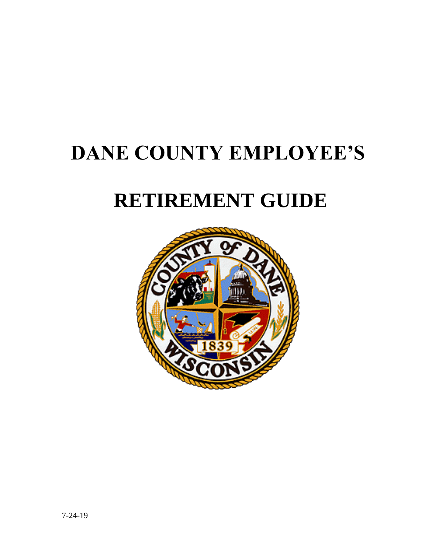# **DANE COUNTY EMPLOYEE'S**

# **RETIREMENT GUIDE**

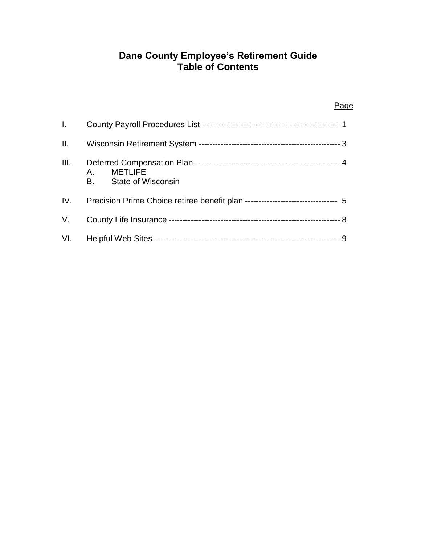## **Dane County Employee's Retirement Guide Table of Contents**

| I.   |                                                                                 |
|------|---------------------------------------------------------------------------------|
| II.  |                                                                                 |
| III. | <b>METLIFE</b><br>A.,<br><b>B.</b><br><b>State of Wisconsin</b>                 |
| IV.  | Precision Prime Choice retiree benefit plan --------------------------------- 5 |
| V.   |                                                                                 |
|      |                                                                                 |

### Page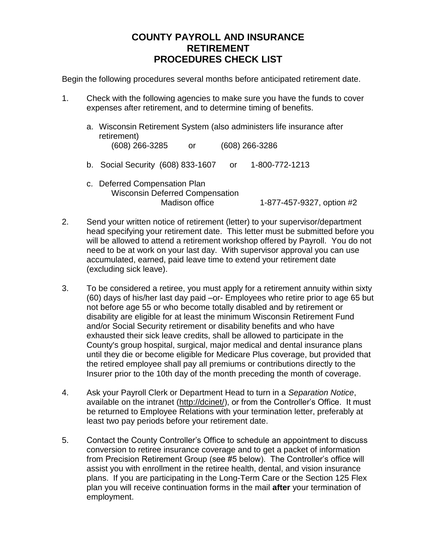## **COUNTY PAYROLL AND INSURANCE RETIREMENT PROCEDURES CHECK LIST**

Begin the following procedures several months before anticipated retirement date.

- 1. Check with the following agencies to make sure you have the funds to cover expenses after retirement, and to determine timing of benefits.
	- a. Wisconsin Retirement System (also administers life insurance after retirement) (608) 266-3285 or (608) 266-3286 b. Social Security (608) 833-1607 or 1-800-772-1213
	- c. Deferred Compensation Plan Wisconsin Deferred Compensation Madison office 1-877-457-9327, option #2
- 2. Send your written notice of retirement (letter) to your supervisor/department head specifying your retirement date. This letter must be submitted before you will be allowed to attend a retirement workshop offered by Payroll. You do not need to be at work on your last day. With supervisor approval you can use accumulated, earned, paid leave time to extend your retirement date (excluding sick leave).
- 3. To be considered a retiree, you must apply for a retirement annuity within sixty (60) days of his/her last day paid –or- Employees who retire prior to age 65 but not before age 55 or who become totally disabled and by retirement or disability are eligible for at least the minimum Wisconsin Retirement Fund and/or Social Security retirement or disability benefits and who have exhausted their sick leave credits, shall be allowed to participate in the County's group hospital, surgical, major medical and dental insurance plans until they die or become eligible for Medicare Plus coverage, but provided that the retired employee shall pay all premiums or contributions directly to the Insurer prior to the 10th day of the month preceding the month of coverage.
- 4. Ask your Payroll Clerk or Department Head to turn in a *Separation Notice*, available on the intranet (http://dcinet/), or from the Controller's Office. It must be returned to Employee Relations with your termination letter, preferably at least two pay periods before your retirement date.
- 5. Contact the County Controller's Office to schedule an appointment to discuss conversion to retiree insurance coverage and to get a packet of information from Precision Retirement Group (see #5 below). The Controller's office will assist you with enrollment in the retiree health, dental, and vision insurance plans. If you are participating in the Long-Term Care or the Section 125 Flex plan you will receive continuation forms in the mail **after** your termination of employment.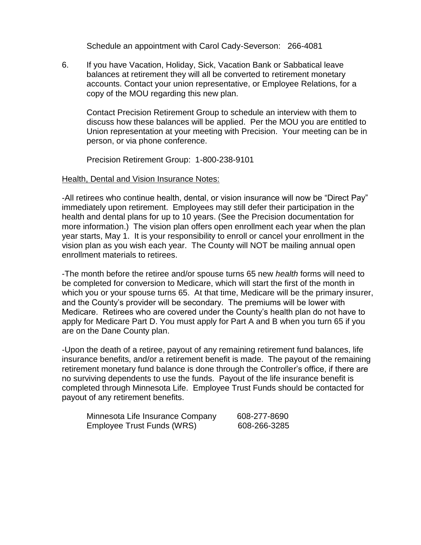Schedule an appointment with Carol Cady-Severson: 266-4081

6. If you have Vacation, Holiday, Sick, Vacation Bank or Sabbatical leave balances at retirement they will all be converted to retirement monetary accounts. Contact your union representative, or Employee Relations, for a copy of the MOU regarding this new plan.

Contact Precision Retirement Group to schedule an interview with them to discuss how these balances will be applied. Per the MOU you are entitled to Union representation at your meeting with Precision. Your meeting can be in person, or via phone conference.

Precision Retirement Group: 1-800-238-9101

#### Health, Dental and Vision Insurance Notes:

-All retirees who continue health, dental, or vision insurance will now be "Direct Pay" immediately upon retirement. Employees may still defer their participation in the health and dental plans for up to 10 years. (See the Precision documentation for more information.) The vision plan offers open enrollment each year when the plan year starts, May 1. It is your responsibility to enroll or cancel your enrollment in the vision plan as you wish each year. The County will NOT be mailing annual open enrollment materials to retirees.

-The month before the retiree and/or spouse turns 65 new *health* forms will need to be completed for conversion to Medicare, which will start the first of the month in which you or your spouse turns 65. At that time, Medicare will be the primary insurer, and the County's provider will be secondary. The premiums will be lower with Medicare. Retirees who are covered under the County's health plan do not have to apply for Medicare Part D. You must apply for Part A and B when you turn 65 if you are on the Dane County plan.

-Upon the death of a retiree, payout of any remaining retirement fund balances, life insurance benefits, and/or a retirement benefit is made. The payout of the remaining retirement monetary fund balance is done through the Controller's office, if there are no surviving dependents to use the funds. Payout of the life insurance benefit is completed through Minnesota Life. Employee Trust Funds should be contacted for payout of any retirement benefits.

| Minnesota Life Insurance Company | 608-277-8690 |
|----------------------------------|--------------|
| Employee Trust Funds (WRS)       | 608-266-3285 |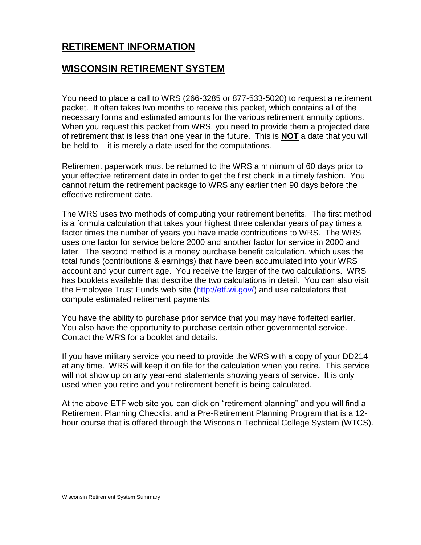## **WISCONSIN RETIREMENT SYSTEM**

You need to place a call to WRS (266-3285 or 877-533-5020) to request a retirement packet. It often takes two months to receive this packet, which contains all of the necessary forms and estimated amounts for the various retirement annuity options. When you request this packet from WRS, you need to provide them a projected date of retirement that is less than one year in the future. This is **NOT** a date that you will be held to – it is merely a date used for the computations.

Retirement paperwork must be returned to the WRS a minimum of 60 days prior to your effective retirement date in order to get the first check in a timely fashion. You cannot return the retirement package to WRS any earlier then 90 days before the effective retirement date.

The WRS uses two methods of computing your retirement benefits. The first method is a formula calculation that takes your highest three calendar years of pay times a factor times the number of years you have made contributions to WRS. The WRS uses one factor for service before 2000 and another factor for service in 2000 and later. The second method is a money purchase benefit calculation, which uses the total funds (contributions & earnings) that have been accumulated into your WRS account and your current age. You receive the larger of the two calculations. WRS has booklets available that describe the two calculations in detail. You can also visit the Employee Trust Funds web site **(**[http://etf.wi.gov/\)](http://etf.wi.gov/) and use calculators that compute estimated retirement payments.

You have the ability to purchase prior service that you may have forfeited earlier. You also have the opportunity to purchase certain other governmental service. Contact the WRS for a booklet and details.

If you have military service you need to provide the WRS with a copy of your DD214 at any time. WRS will keep it on file for the calculation when you retire. This service will not show up on any year-end statements showing years of service. It is only used when you retire and your retirement benefit is being calculated.

At the above ETF web site you can click on "retirement planning" and you will find a Retirement Planning Checklist and a Pre-Retirement Planning Program that is a 12 hour course that is offered through the Wisconsin Technical College System (WTCS).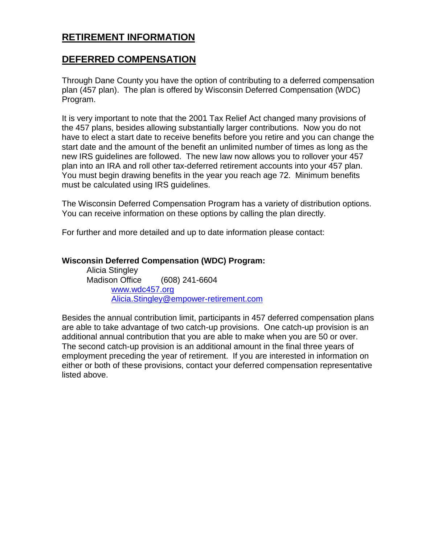## **DEFERRED COMPENSATION**

Through Dane County you have the option of contributing to a deferred compensation plan (457 plan). The plan is offered by Wisconsin Deferred Compensation (WDC) Program.

It is very important to note that the 2001 Tax Relief Act changed many provisions of the 457 plans, besides allowing substantially larger contributions. Now you do not have to elect a start date to receive benefits before you retire and you can change the start date and the amount of the benefit an unlimited number of times as long as the new IRS guidelines are followed. The new law now allows you to rollover your 457 plan into an IRA and roll other tax-deferred retirement accounts into your 457 plan. You must begin drawing benefits in the year you reach age 72. Minimum benefits must be calculated using IRS guidelines.

The Wisconsin Deferred Compensation Program has a variety of distribution options. You can receive information on these options by calling the plan directly.

For further and more detailed and up to date information please contact:

#### **Wisconsin Deferred Compensation (WDC) Program:**

Alicia Stingley Madison Office (608) 241-6604 [www.wdc457.org](http://www.wdc457.org/) [Alicia.Stingley@empower-retirement.com](mailto:Alicia.Stingley@empower-retirement.com)

Besides the annual contribution limit, participants in 457 deferred compensation plans are able to take advantage of two catch-up provisions. One catch-up provision is an additional annual contribution that you are able to make when you are 50 or over. The second catch-up provision is an additional amount in the final three years of employment preceding the year of retirement. If you are interested in information on either or both of these provisions, contact your deferred compensation representative listed above.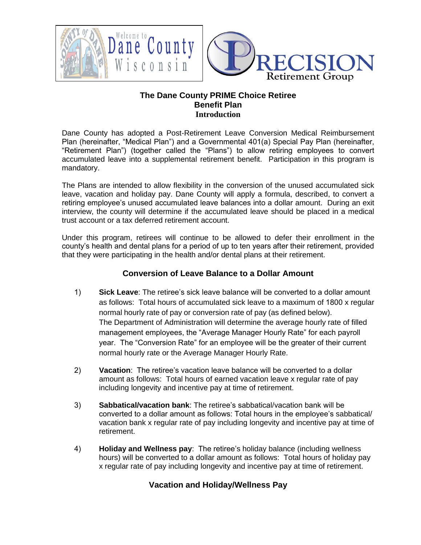

#### **The Dane County PRIME Choice Retiree Benefit Plan Introduction**

Dane County has adopted a Post-Retirement Leave Conversion Medical Reimbursement Plan (hereinafter, "Medical Plan") and a Governmental 401(a) Special Pay Plan (hereinafter, "Retirement Plan") (together called the "Plans") to allow retiring employees to convert accumulated leave into a supplemental retirement benefit. Participation in this program is mandatory.

The Plans are intended to allow flexibility in the conversion of the unused accumulated sick leave, vacation and holiday pay. Dane County will apply a formula, described, to convert a retiring employee's unused accumulated leave balances into a dollar amount. During an exit interview, the county will determine if the accumulated leave should be placed in a medical trust account or a tax deferred retirement account.

Under this program, retirees will continue to be allowed to defer their enrollment in the county's health and dental plans for a period of up to ten years after their retirement, provided that they were participating in the health and/or dental plans at their retirement.

#### **Conversion of Leave Balance to a Dollar Amount**

- 1) **Sick Leave**: The retiree's sick leave balance will be converted to a dollar amount as follows: Total hours of accumulated sick leave to a maximum of 1800 x regular normal hourly rate of pay or conversion rate of pay (as defined below). The Department of Administration will determine the average hourly rate of filled management employees, the "Average Manager Hourly Rate" for each payroll year. The "Conversion Rate" for an employee will be the greater of their current normal hourly rate or the Average Manager Hourly Rate.
- 2) **Vacation**: The retiree's vacation leave balance will be converted to a dollar amount as follows: Total hours of earned vacation leave x regular rate of pay including longevity and incentive pay at time of retirement.
- 3) **Sabbatical/vacation bank**: The retiree's sabbatical/vacation bank will be converted to a dollar amount as follows: Total hours in the employee's sabbatical/ vacation bank x regular rate of pay including longevity and incentive pay at time of retirement.
- 4) **Holiday and Wellness pay**: The retiree's holiday balance (including wellness hours) will be converted to a dollar amount as follows: Total hours of holiday pay x regular rate of pay including longevity and incentive pay at time of retirement.

### **Vacation and Holiday/Wellness Pay**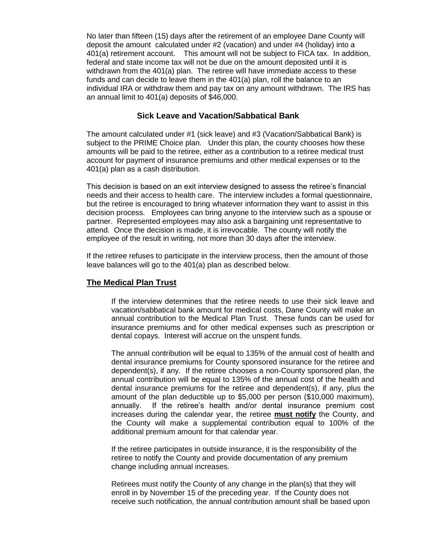No later than fifteen (15) days after the retirement of an employee Dane County will deposit the amount calculated under #2 (vacation) and under #4 (holiday) into a 401(a) retirement account. This amount will not be subject to FICA tax. In addition, federal and state income tax will not be due on the amount deposited until it is withdrawn from the 401(a) plan. The retiree will have immediate access to these funds and can decide to leave them in the 401(a) plan, roll the balance to an individual IRA or withdraw them and pay tax on any amount withdrawn. The IRS has an annual limit to 401(a) deposits of \$46,000.

#### **Sick Leave and Vacation/Sabbatical Bank**

The amount calculated under #1 (sick leave) and #3 (Vacation/Sabbatical Bank) is subject to the PRIME Choice plan. Under this plan, the county chooses how these amounts will be paid to the retiree, either as a contribution to a retiree medical trust account for payment of insurance premiums and other medical expenses or to the 401(a) plan as a cash distribution.

This decision is based on an exit interview designed to assess the retiree's financial needs and their access to health care. The interview includes a formal questionnaire, but the retiree is encouraged to bring whatever information they want to assist in this decision process. Employees can bring anyone to the interview such as a spouse or partner. Represented employees may also ask a bargaining unit representative to attend. Once the decision is made, it is irrevocable. The county will notify the employee of the result in writing, not more than 30 days after the interview.

If the retiree refuses to participate in the interview process, then the amount of those leave balances will go to the 401(a) plan as described below.

#### **The Medical Plan Trust**

If the interview determines that the retiree needs to use their sick leave and vacation/sabbatical bank amount for medical costs, Dane County will make an annual contribution to the Medical Plan Trust. These funds can be used for insurance premiums and for other medical expenses such as prescription or dental copays. Interest will accrue on the unspent funds.

The annual contribution will be equal to 135% of the annual cost of health and dental insurance premiums for County sponsored insurance for the retiree and dependent(s), if any. If the retiree chooses a non-County sponsored plan, the annual contribution will be equal to 135% of the annual cost of the health and dental insurance premiums for the retiree and dependent(s), if any, plus the amount of the plan deductible up to \$5,000 per person (\$10,000 maximum), annually. If the retiree's health and/or dental insurance premium cost increases during the calendar year, the retiree **must notify** the County, and the County will make a supplemental contribution equal to 100% of the additional premium amount for that calendar year.

If the retiree participates in outside insurance, it is the responsibility of the retiree to notify the County and provide documentation of any premium change including annual increases.

Retirees must notify the County of any change in the plan(s) that they will enroll in by November 15 of the preceding year. If the County does not receive such notification, the annual contribution amount shall be based upon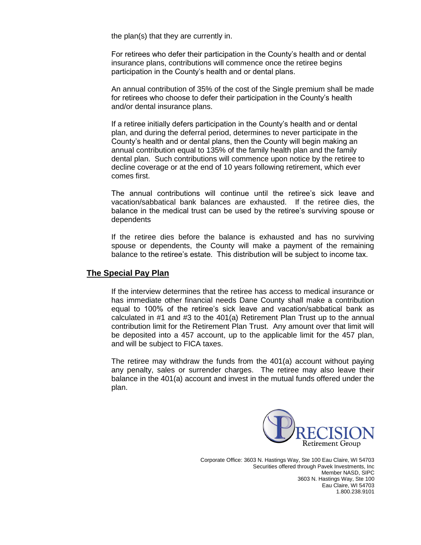the plan(s) that they are currently in.

For retirees who defer their participation in the County's health and or dental insurance plans, contributions will commence once the retiree begins participation in the County's health and or dental plans.

An annual contribution of 35% of the cost of the Single premium shall be made for retirees who choose to defer their participation in the County's health and/or dental insurance plans.

If a retiree initially defers participation in the County's health and or dental plan, and during the deferral period, determines to never participate in the County's health and or dental plans, then the County will begin making an annual contribution equal to 135% of the family health plan and the family dental plan. Such contributions will commence upon notice by the retiree to decline coverage or at the end of 10 years following retirement, which ever comes first.

The annual contributions will continue until the retiree's sick leave and vacation/sabbatical bank balances are exhausted. If the retiree dies, the balance in the medical trust can be used by the retiree's surviving spouse or dependents

If the retiree dies before the balance is exhausted and has no surviving spouse or dependents, the County will make a payment of the remaining balance to the retiree's estate. This distribution will be subject to income tax.

#### **The Special Pay Plan**

If the interview determines that the retiree has access to medical insurance or has immediate other financial needs Dane County shall make a contribution equal to 100% of the retiree's sick leave and vacation/sabbatical bank as calculated in #1 and #3 to the 401(a) Retirement Plan Trust up to the annual contribution limit for the Retirement Plan Trust. Any amount over that limit will be deposited into a 457 account, up to the applicable limit for the 457 plan, and will be subject to FICA taxes.

The retiree may withdraw the funds from the 401(a) account without paying any penalty, sales or surrender charges. The retiree may also leave their balance in the 401(a) account and invest in the mutual funds offered under the plan.



Corporate Office: 3603 N. Hastings Way, Ste 100 Eau Claire, WI 54703 Securities offered through Pavek Investments, Inc Member NASD, SIPC 3603 N. Hastings Way, Ste 100 Eau Claire, WI 54703 1.800.238.9101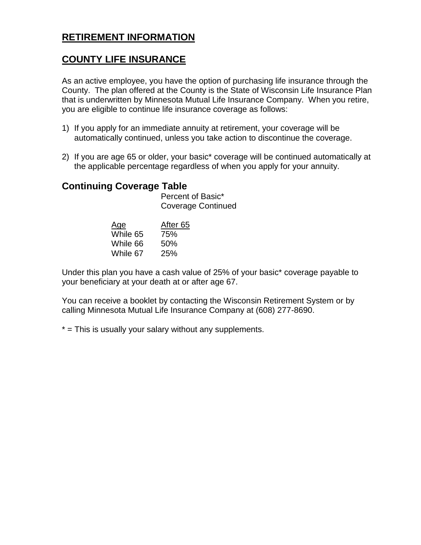## **COUNTY LIFE INSURANCE**

As an active employee, you have the option of purchasing life insurance through the County. The plan offered at the County is the State of Wisconsin Life Insurance Plan that is underwritten by Minnesota Mutual Life Insurance Company. When you retire, you are eligible to continue life insurance coverage as follows:

- 1) If you apply for an immediate annuity at retirement, your coverage will be automatically continued, unless you take action to discontinue the coverage.
- 2) If you are age 65 or older, your basic\* coverage will be continued automatically at the applicable percentage regardless of when you apply for your annuity.

## **Continuing Coverage Table**

Percent of Basic\* Coverage Continued

| Age      | After <sub>65</sub> |
|----------|---------------------|
| While 65 | 75%                 |
| While 66 | 50%                 |
| While 67 | 25%                 |

Under this plan you have a cash value of 25% of your basic\* coverage payable to your beneficiary at your death at or after age 67.

You can receive a booklet by contacting the Wisconsin Retirement System or by calling Minnesota Mutual Life Insurance Company at (608) 277-8690.

\* = This is usually your salary without any supplements.